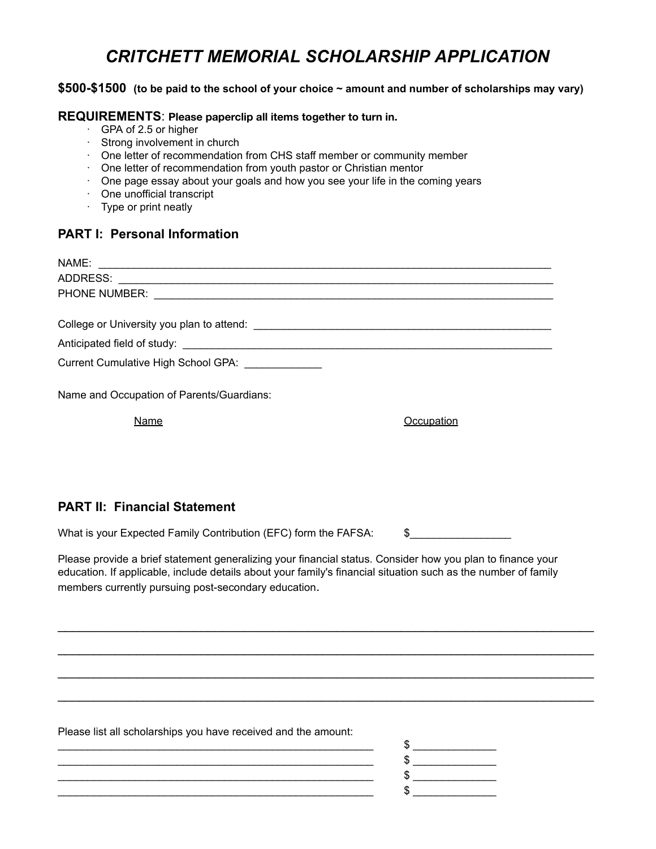# *CRITCHETT MEMORIAL SCHOLARSHIP APPLICATION*

### **\$500-\$1500 (to be paid to the school of your choice ~ amount and number of scholarships may vary)**

#### **REQUIREMENTS** : **Please paperclip all items together to turn in.**

- · GPA of 2.5 or higher
- · Strong involvement in church
- · One letter of recommendation from CHS staff member or community member
- · One letter of recommendation from youth pastor or Christian mentor
- · One page essay about your goals and how you see your life in the coming years
- · One unofficial transcript
- · Type or print neatly

# **PART I: Personal Information**

| Current Cumulative High School GPA:       |            |
|-------------------------------------------|------------|
| Name and Occupation of Parents/Guardians: |            |
| Name                                      | Occupation |
|                                           |            |
|                                           |            |

# **PART II: Financial Statement**

What is your Expected Family Contribution (EFC) form the FAFSA: \\$

Please provide a brief statement generalizing your financial status. Consider how you plan to finance your education. If applicable, include details about your family's financial situation such as the number of family members currently pursuing post-secondary education .

\_\_\_\_\_\_\_\_\_\_\_\_\_\_\_\_\_\_\_\_\_\_\_\_\_\_\_\_\_\_\_\_\_\_\_\_\_\_\_\_\_\_\_\_\_\_\_\_\_\_\_\_\_\_\_\_\_\_\_\_\_\_\_\_\_\_\_\_\_\_\_\_\_\_\_

\_\_\_\_\_\_\_\_\_\_\_\_\_\_\_\_\_\_\_\_\_\_\_\_\_\_\_\_\_\_\_\_\_\_\_\_\_\_\_\_\_\_\_\_\_\_\_\_\_\_\_\_\_\_\_\_\_\_\_\_\_\_\_\_\_\_\_\_\_\_\_\_\_\_\_

\_\_\_\_\_\_\_\_\_\_\_\_\_\_\_\_\_\_\_\_\_\_\_\_\_\_\_\_\_\_\_\_\_\_\_\_\_\_\_\_\_\_\_\_\_\_\_\_\_\_\_\_\_\_\_\_\_\_\_\_\_\_\_\_\_\_\_\_\_\_\_\_\_\_\_

\_\_\_\_\_\_\_\_\_\_\_\_\_\_\_\_\_\_\_\_\_\_\_\_\_\_\_\_\_\_\_\_\_\_\_\_\_\_\_\_\_\_\_\_\_\_\_\_\_\_\_\_\_\_\_\_\_\_\_\_\_\_\_\_\_\_\_\_\_\_\_\_\_\_\_

Please list all scholarships you have received and the amount:

\_\_\_\_\_\_\_\_\_\_\_\_\_\_\_\_\_\_\_\_\_\_\_\_\_\_\_\_\_\_\_\_\_\_\_\_\_\_\_\_\_\_\_\_\_\_\_\_\_\_\_\_\_ \$ \_\_\_\_\_\_\_\_\_\_\_\_\_\_  $\frac{1}{2}$ \_\_\_\_\_\_\_\_\_\_\_\_\_\_\_\_\_\_\_\_\_\_\_\_\_\_\_\_\_\_\_\_\_\_\_\_\_\_\_\_\_\_\_\_\_\_\_\_\_\_\_\_\_ \$ \_\_\_\_\_\_\_\_\_\_\_\_\_\_  $\frac{12}{100}$